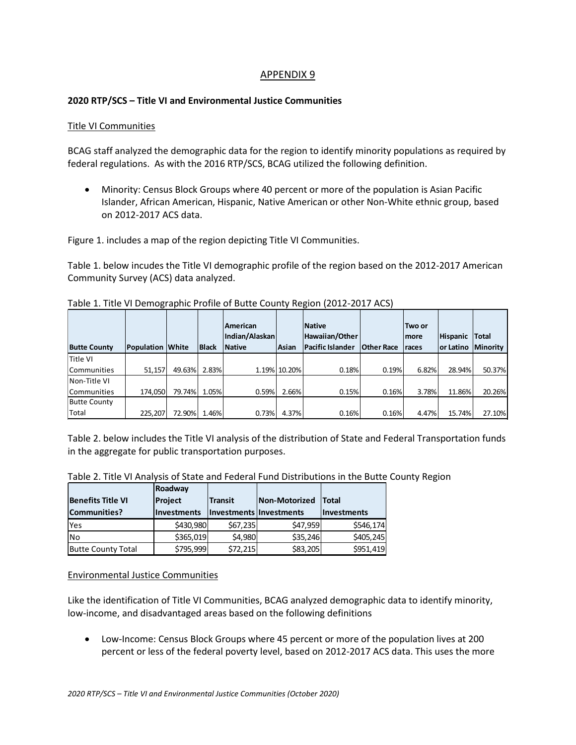## APPENDIX 9

## **2020 RTP/SCS – Title VI and Environmental Justice Communities**

## Title VI Communities

BCAG staff analyzed the demographic data for the region to identify minority populations as required by federal regulations. As with the 2016 RTP/SCS, BCAG utilized the following definition.

• Minority: Census Block Groups where 40 percent or more of the population is Asian Pacific Islander, African American, Hispanic, Native American or other Non-White ethnic group, based on 2012-2017 ACS data.

Figure 1. includes a map of the region depicting Title VI Communities.

Table 1. below incudes the Title VI demographic profile of the region based on the 2012-2017 American Community Survey (ACS) data analyzed.

|                     |                         |        |              | <b>American</b><br>Indian/Alaskan |              | <b>Native</b><br>Hawaiian/Other |                   | lTwo or<br>Imore | <b>Hispanic</b>       | <b>Total</b> |
|---------------------|-------------------------|--------|--------------|-----------------------------------|--------------|---------------------------------|-------------------|------------------|-----------------------|--------------|
| <b>Butte County</b> | <b>Population White</b> |        | <b>Black</b> | <b>Native</b>                     | Asian        | <b>Pacific Islander</b>         | <b>Other Race</b> | races            | lor Latino   Minority |              |
| Title VI            |                         |        |              |                                   |              |                                 |                   |                  |                       |              |
| Communities         | 51.157                  | 49.63% | 2.83%        |                                   | 1.19% 10.20% | 0.18%                           | 0.19%             | 6.82%            | 28.94%                | 50.37%       |
| Non-Title VI        |                         |        |              |                                   |              |                                 |                   |                  |                       |              |
| Communities         | 174.050                 | 79.74% | 1.05%        | 0.59%                             | 2.66%        | 0.15%                           | 0.16%             | 3.78%            | 11.86%                | 20.26%       |
| <b>Butte County</b> |                         |        |              |                                   |              |                                 |                   |                  |                       |              |
| Total               | 225.207                 | 72.90% | 1.46%        | 0.73%                             | 4.37%        | 0.16%                           | 0.16%             | 4.47%            | 15.74%                | 27.10%       |

Table 1. Title VI Demographic Profile of Butte County Region (2012-2017 ACS)

Table 2. below includes the Title VI analysis of the distribution of State and Federal Transportation funds in the aggregate for public transportation purposes.

|  |  | Table 2. Title VI Analysis of State and Federal Fund Distributions in the Butte County Region |  |
|--|--|-----------------------------------------------------------------------------------------------|--|
|  |  |                                                                                               |  |

|                           | Roadway        |                         |               |                    |
|---------------------------|----------------|-------------------------|---------------|--------------------|
| <b>Benefits Title VI</b>  | <b>Project</b> | <b>Transit</b>          | Non-Motorized | <b>Total</b>       |
| Communities?              | Investments    | Investments Investments |               | <b>Investments</b> |
| Yes                       | \$430,980      | \$67,235                | \$47,959      | \$546,174          |
| <b>No</b>                 | \$365,019      | \$4,980                 | \$35,246      | \$405,245          |
| <b>Butte County Total</b> | \$795,999      | \$72,215                | \$83,205      | \$951,419          |

## Environmental Justice Communities

Like the identification of Title VI Communities, BCAG analyzed demographic data to identify minority, low-income, and disadvantaged areas based on the following definitions

• Low-Income: Census Block Groups where 45 percent or more of the population lives at 200 percent or less of the federal poverty level, based on 2012-2017 ACS data. This uses the more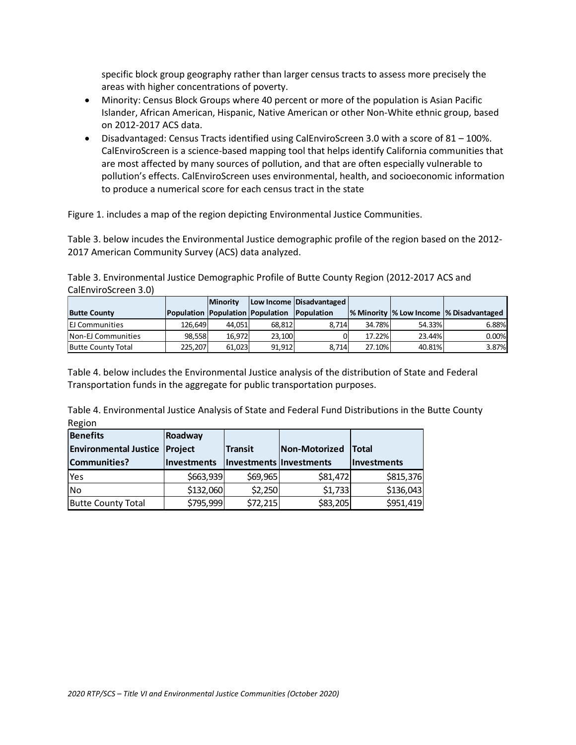specific block group geography rather than larger census tracts to assess more precisely the areas with higher concentrations of poverty.

- Minority: Census Block Groups where 40 percent or more of the population is Asian Pacific Islander, African American, Hispanic, Native American or other Non-White ethnic group, based on 2012-2017 ACS data.
- Disadvantaged: Census Tracts identified using CalEnviroScreen 3.0 with a score of 81 100%. CalEnviroScreen is a science-based mapping tool that helps identify California communities that are most affected by many sources of pollution, and that are often especially vulnerable to pollution's effects. CalEnviroScreen uses environmental, health, and socioeconomic information to produce a numerical score for each census tract in the state

Figure 1. includes a map of the region depicting Environmental Justice Communities.

Table 3. below incudes the Environmental Justice demographic profile of the region based on the 2012- 2017 American Community Survey (ACS) data analyzed.

Table 3. Environmental Justice Demographic Profile of Butte County Region (2012-2017 ACS and CalEnviroScreen 3.0)

|                           |         | <b>Minority</b> |                                             | Low Income Disadvantaged |        |        |                                           |
|---------------------------|---------|-----------------|---------------------------------------------|--------------------------|--------|--------|-------------------------------------------|
| <b>Butte County</b>       |         |                 | Population Population Population Population |                          |        |        | % Minority  % Low Income  % Disadvantaged |
| <b>EJ Communities</b>     | 126.649 | 44.051          | 68.812                                      | 8.714                    | 34.78% | 54.33% | $6.88\%$                                  |
| Non-EJ Communities        | 98.558  | 16.972          | 23.100                                      |                          | 17.22% | 23.44% | 0.00%                                     |
| <b>Butte County Total</b> | 225.207 | 61.023          | 91,912                                      | 8.714                    | 27.10% | 40.81% | 3.87%                                     |

Table 4. below includes the Environmental Justice analysis of the distribution of State and Federal Transportation funds in the aggregate for public transportation purposes.

Table 4. Environmental Justice Analysis of State and Federal Fund Distributions in the Butte County Region

| <b>Benefits</b>              | Roadway            |                           |               |              |  |
|------------------------------|--------------------|---------------------------|---------------|--------------|--|
| <b>Environmental Justice</b> | <b>Project</b>     | <b>Transit</b>            | Non-Motorized | <b>Total</b> |  |
| <b>Communities?</b>          | <b>Investments</b> | Investments   Investments |               | Investments  |  |
| Yes                          | \$663,939          | \$69,965                  | \$81,472      | \$815,376    |  |
| <b>INo</b>                   | \$132,060          | \$2,250                   | \$1,733       | \$136,043    |  |
| <b>Butte County Total</b>    | \$795,999          | \$72,215                  | \$83,205      | \$951,419    |  |